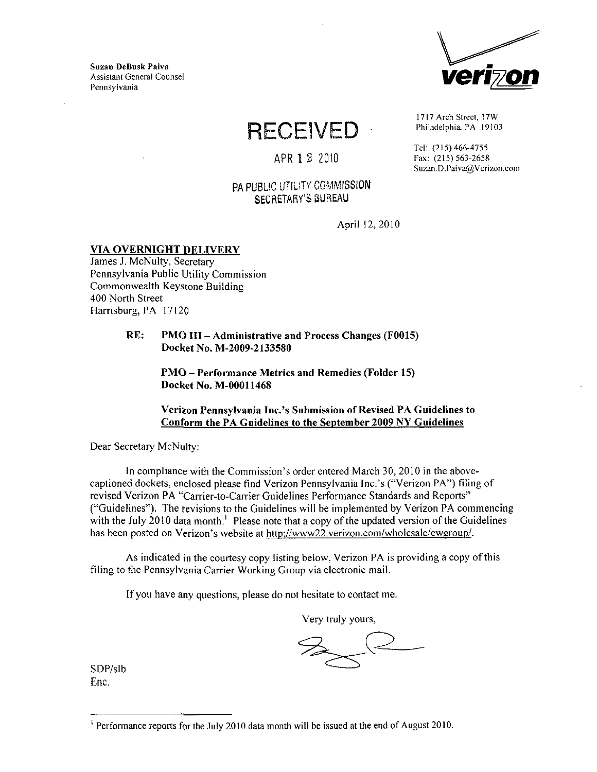Suzan DeBusk Paiva Assistant General Counsel



**RECEIVED** 

APR 1 2 2010

## PA PUBLIC UTILITY COMMISSION SECRETARY'S BUREAU

1717 Arch Street, I7W Philadelphia, PA 19103

Tel: (215)466-4755 Fax: (215) 563-2658 Suzan.D.Paiva@Verizon.com

April 12,2010

## VIA OVERNIGHT DELIVERY

James J. McNulty, Secretary Pennsylvania Public Utility Commission Commonwealth Keystone Building 400 North Street Harrisburg, PA 17120

> RE: PMO III - Administrative and Process Changes (F001S) Docket No, M-2009-2133580

> > PMO - Performance Metrics and Remedies (Folder 15) Docket No. M-00011468

### Verizon Pennsylvania Inc.'s Submission of Revised PA Guidelines to Conform the PA Guidelines to the September 2009 NY Guidelines

Dear Secretary McNulty:

In compliance with the Commission's order entered March 30, 2010 in the abovecaptioned dockets, enclosed please find Verizon Pennsylvania Inc.'s ("Verizon PA") filing of revised Verizon PA "Carrier-to-Carrier Guidelines Performance Standards and Reports" ("Guidelines"). The revisions to the Guidelines will be implemented by Verizon PA commencing with the July 2010 data month.<sup>1</sup> Please note that a copy of the updated version of the Guidelines has been posted on Verizon's website at [http://www22.verizon.com/wholesale/cwgroup/.](http://www22.verizon.com/wholesale/cwgroup/)

As indicated in the courtesy copy listing below. Verizon PA is providing a copy of this filing to the Pennsylvania Carrier Working Group via electronic mail.

If you have any questions, please do not hesitate to contact me.

Very truly yours,

SDP/sIb Enc.

Performance reports for the July 2010 data month will be issued at the end of August 2010.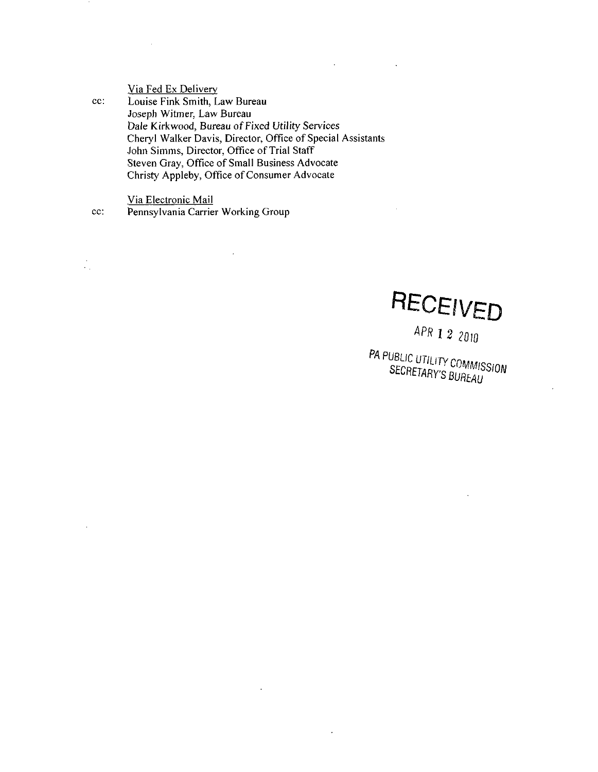Via Fed Ex Delivery cc: Louise Fink Smith, Law Bureau Joseph Witmer, Law Bureau Dale Kirkwood, Bureau of Fixed Utility Services Cheryl Walker Davis, Director, Office of Special Assistants John Simms, Director, Office of Trial Staff Steven Gray, Office of Small Business Advocate Christy Appleby, Office of Consumer Advocate

Via Electronic Mail

 $\frac{1}{2}$ 

cc: Pennsylvania Carrier Working Group

RECEIVED

APR 1 2 2010<br>PA PUBLIC UTILITY COMMISSION SECRETARY'S BUREAU

 $\ddot{\phantom{0}}$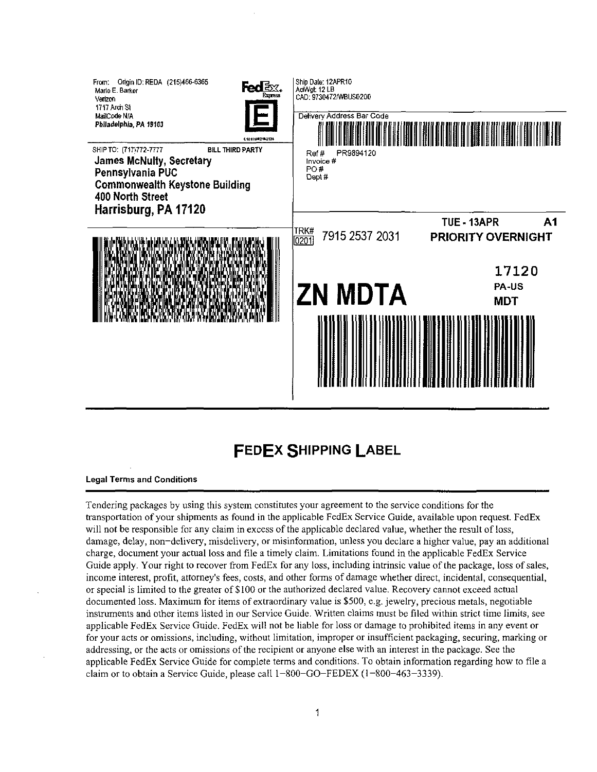

# FEDEX SHIPPING LABEL

#### Legal Terms and Conditions

Tendering packages by using this system constitutes your agreement to the service conditions for the transportation of your shipments as found in the applicable FedEx Service Guide, available upon request. FedEx will not be responsible for any claim in excess of the applicable declared value, whether the result of loss, damage, delay, non-delivery, misdelivery, or misinformation, unless you declare a higher value, pay an additional charge, document your actual loss and file a timely claim. Limitations found in the applicable FedEx Service Guide apply. Your right to recover from FedEx for any loss, including intrinsic value of the package, loss of sales, income interest, profit, attorney's fees, costs, and other forms of damage whether direct, incidental, consequential, or special is limited to the greater of \$100 or the authorized declared value. Recovery cannot exceed actual documented loss. Maximum for items of extraordinary value is \$500, e.g. jewelry, precious metals, negotiable instruments and other items listed in our Service Guide. Written claims must be filed within strict time limits, see applicable FedEx Service Guide. FedEx will not be liable for loss or damage to prohibited items in any event or for your acts or omissions, including, without limitation, improper or insufficient packaging, securing, marking or addressing, or the acts or omissions ofthe recipient or anyone else with an interest in the package. See the applicable FedEx Service Guide for complete terms and conditions. To obtain information regarding how to file a claim or to obtain a Service Guide, please call 1-800-GO-FEDEX (1-800-463-3339).